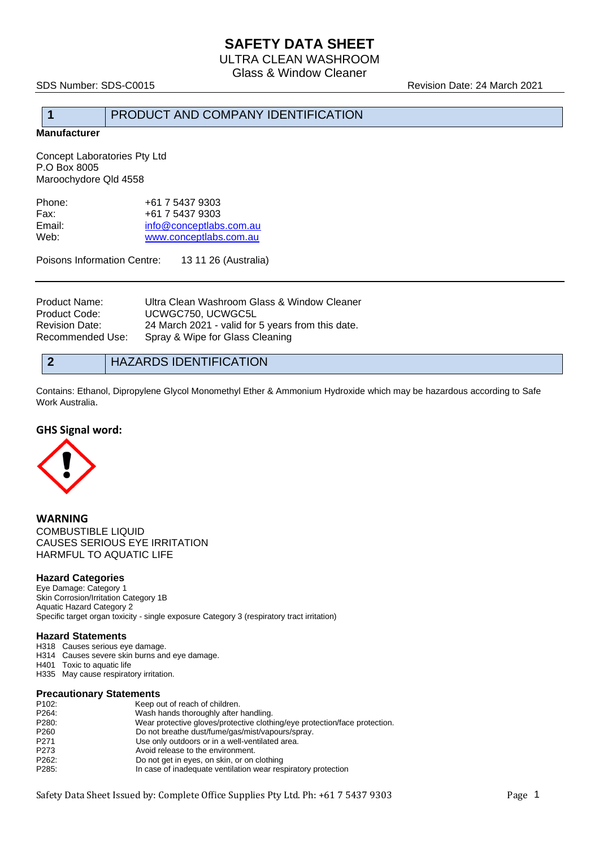# **SAFETY DATA SHEET**

ULTRA CLEAN WASHROOM Glass & Window Cleaner

SDS Number: SDS-C0015 Revision Date: 24 March 2021

## **1** PRODUCT AND COMPANY IDENTIFICATION

**Manufacturer**

Concept Laboratories Pty Ltd P.O Box 8005 Maroochydore Qld 4558

| Phone: | +61 7 5437 9303         |
|--------|-------------------------|
| Fax:   | +61 7 5437 9303         |
| Email: | info@conceptlabs.com.au |
| Web:   | www.conceptlabs.com.au  |
|        |                         |

Poisons Information Centre: 13 11 26 (Australia)

| Product Name:<br>Product Code: | Ultra Clean Washroom Glass & Window Cleaner<br>UCWGC750, UCWGC5L |
|--------------------------------|------------------------------------------------------------------|
| Revision Date:                 | 24 March 2021 - valid for 5 years from this date.                |
| Recommended Use:               | Spray & Wipe for Glass Cleaning                                  |

## **2** HAZARDS IDENTIFICATION

Contains: Ethanol, Dipropylene Glycol Monomethyl Ether & Ammonium Hydroxide which may be hazardous according to Safe Work Australia.

### **GHS Signal word:**



**WARNING** COMBUSTIBLE LIQUID CAUSES SERIOUS EYE IRRITATION HARMFUL TO AQUATIC LIFE

### **Hazard Categories**

Eye Damage: Category 1 Skin Corrosion/Irritation Category 1B Aquatic Hazard Category 2 Specific target organ toxicity - single exposure Category 3 (respiratory tract irritation)

### **Hazard Statements**

H318 Causes serious eye damage. H314 Causes severe skin burns and eye damage. H401 Toxic to aquatic life

H335 May cause respiratory irritation.

### **Precautionary Statements**

| P <sub>102</sub> : | Keep out of reach of children.                                             |
|--------------------|----------------------------------------------------------------------------|
| P264:              | Wash hands thoroughly after handling.                                      |
| P280:              | Wear protective gloves/protective clothing/eye protection/face protection. |
| P <sub>260</sub>   | Do not breathe dust/fume/gas/mist/vapours/spray.                           |
| P <sub>271</sub>   | Use only outdoors or in a well-ventilated area.                            |
| P273               | Avoid release to the environment.                                          |
| P262:              | Do not get in eyes, on skin, or on clothing                                |
| P285:              | In case of inadequate ventilation wear respiratory protection              |
|                    |                                                                            |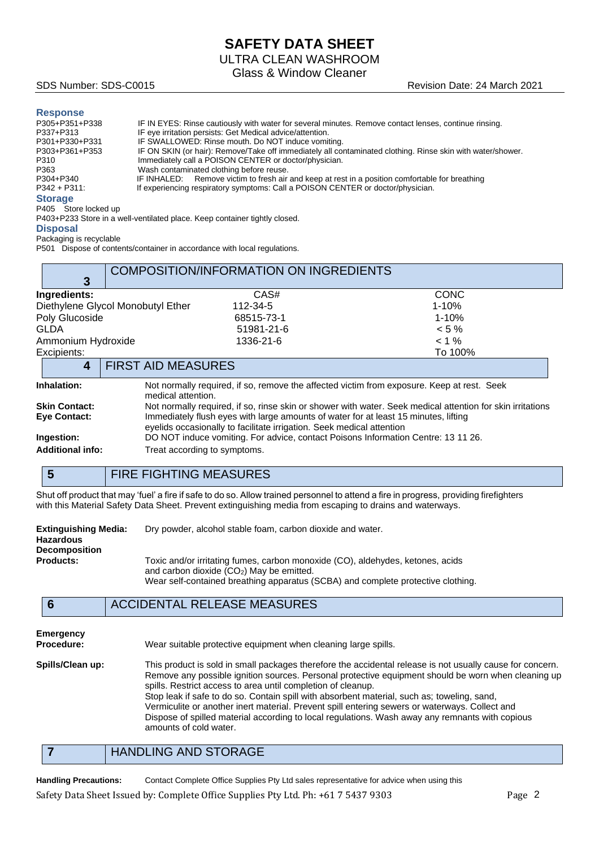# **SAFETY DATA SHEET**

ULTRA CLEAN WASHROOM

Glass & Window Cleaner

### **Response**

| P305+P351+P338  | IF IN EYES: Rinse cautiously with water for several minutes. Remove contact lenses, continue rinsing.      |
|-----------------|------------------------------------------------------------------------------------------------------------|
| P337+P313       | IF eye irritation persists: Get Medical advice/attention.                                                  |
| P301+P330+P331  | IF SWALLOWED: Rinse mouth. Do NOT induce vomiting.                                                         |
| P303+P361+P353  | IF ON SKIN (or hair): Remove/Take off immediately all contaminated clothing. Rinse skin with water/shower. |
| P310            | Immediately call a POISON CENTER or doctor/physician.                                                      |
| P363            | Wash contaminated clothing before reuse.                                                                   |
| P304+P340       | IF INHALED: Remove victim to fresh air and keep at rest in a position comfortable for breathing            |
| $P342 + P311$ : | If experiencing respiratory symptoms: Call a POISON CENTER or doctor/physician.                            |
| <b>Storage</b>  |                                                                                                            |

P405 Store locked up P403+P233 Store in a well-ventilated place. Keep container tightly closed.

### **Disposal**

Packaging is recyclable

P501 Dispose of contents/container in accordance with local regulations.

| 3                       |                                                                                                                                                              | <b>COMPOSITION/INFORMATION ON INGREDIENTS</b> |                                                                                            |
|-------------------------|--------------------------------------------------------------------------------------------------------------------------------------------------------------|-----------------------------------------------|--------------------------------------------------------------------------------------------|
| Ingredients:            |                                                                                                                                                              | CAS#                                          | CONC                                                                                       |
|                         | Diethylene Glycol Monobutyl Ether                                                                                                                            | 112-34-5                                      | $1 - 10%$                                                                                  |
| Poly Glucoside          |                                                                                                                                                              | 68515-73-1                                    | $1 - 10%$                                                                                  |
| <b>GLDA</b>             |                                                                                                                                                              | 51981-21-6                                    | $< 5 \%$                                                                                   |
| Ammonium Hydroxide      |                                                                                                                                                              | 1336-21-6                                     | $< 1\%$                                                                                    |
| Excipients:             |                                                                                                                                                              |                                               | To 100%                                                                                    |
| 4                       | <b>FIRST AID MEASURES</b>                                                                                                                                    |                                               |                                                                                            |
| Inhalation:             | medical attention.                                                                                                                                           |                                               | Not normally required, if so, remove the affected victim from exposure. Keep at rest. Seek |
| <b>Skin Contact:</b>    | Not normally required, if so, rinse skin or shower with water. Seek medical attention for skin irritations                                                   |                                               |                                                                                            |
| <b>Eye Contact:</b>     | Immediately flush eyes with large amounts of water for at least 15 minutes, lifting<br>eyelids occasionally to facilitate irrigation. Seek medical attention |                                               |                                                                                            |
| Ingestion:              | DO NOT induce vomiting. For advice, contact Poisons Information Centre: 13 11 26.                                                                            |                                               |                                                                                            |
| <b>Additional info:</b> | Treat according to symptoms.                                                                                                                                 |                                               |                                                                                            |
|                         |                                                                                                                                                              |                                               |                                                                                            |

## **5** FIRE FIGHTING MEASURES

Shut off product that may 'fuel' a fire if safe to do so. Allow trained personnel to attend a fire in progress, providing firefighters with this Material Safety Data Sheet. Prevent extinguishing media from escaping to drains and waterways.

| <b>Extinguishing Media:</b> | Dry powder, alcohol stable foam, carbon dioxide and water.                                                                   |  |  |
|-----------------------------|------------------------------------------------------------------------------------------------------------------------------|--|--|
| <b>Hazardous</b>            |                                                                                                                              |  |  |
| <b>Decomposition</b>        |                                                                                                                              |  |  |
| <b>Products:</b>            | Toxic and/or irritating fumes, carbon monoxide (CO), aldehydes, ketones, acids<br>and carbon dioxide $(CO2)$ May be emitted. |  |  |
|                             | Wear self-contained breathing apparatus (SCBA) and complete protective clothing.                                             |  |  |

### **6** ACCIDENTAL RELEASE MEASURES

| <b>Emergency</b> |  |  |  |
|------------------|--|--|--|
| Drocoduro:       |  |  |  |

**Procedure:** Wear suitable protective equipment when cleaning large spills.

**Spills/Clean up:** This product is sold in small packages therefore the accidental release is not usually cause for concern. Remove any possible ignition sources. Personal protective equipment should be worn when cleaning up spills. Restrict access to area until completion of cleanup. Stop leak if safe to do so. Contain spill with absorbent material, such as; toweling, sand, Vermiculite or another inert material. Prevent spill entering sewers or waterways. Collect and Dispose of spilled material according to local regulations. Wash away any remnants with copious amounts of cold water.

## **7** HANDLING AND STORAGE

**Handling Precautions:** Contact Complete Office Supplies Pty Ltd sales representative for advice when using this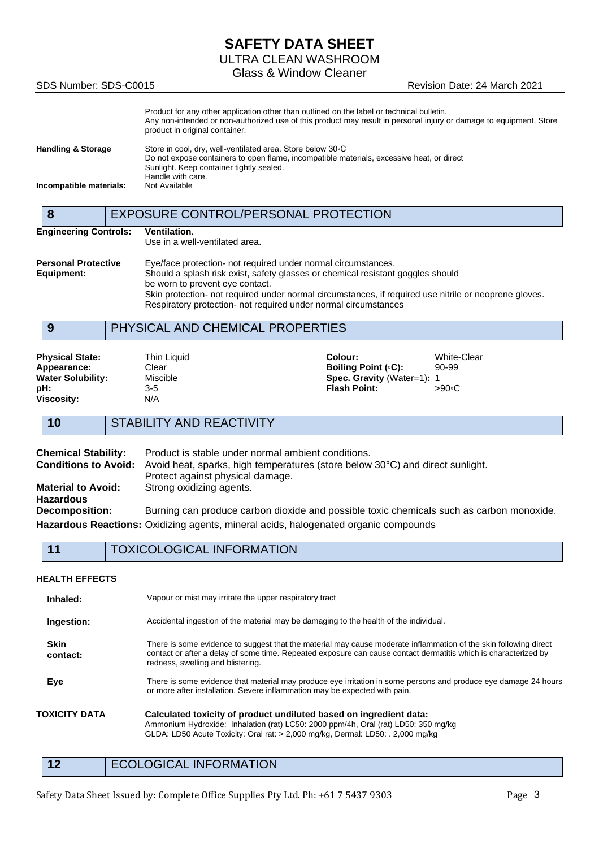# **SAFETY DATA SHEET**

ULTRA CLEAN WASHROOM

Glass & Window Cleaner

SDS Number: SDS-C0015 **Revision Date: 24 March 2021** 

|                               | Product for any other application other than outlined on the label or technical bulletin.<br>Any non-intended or non-authorized use of this product may result in personal injury or damage to equipment. Store<br>product in original container. |
|-------------------------------|---------------------------------------------------------------------------------------------------------------------------------------------------------------------------------------------------------------------------------------------------|
| <b>Handling &amp; Storage</b> | Store in cool, dry, well-ventilated area. Store below 30 °C                                                                                                                                                                                       |
|                               | Do not expose containers to open flame, incompatible materials, excessive heat, or direct                                                                                                                                                         |
|                               | Sunlight. Keep container tightly sealed.                                                                                                                                                                                                          |
|                               | Handle with care.                                                                                                                                                                                                                                 |
| Incompatible materials:       | Not Available                                                                                                                                                                                                                                     |

|                              | EXPOSURE CONTROL/PERSONAL PROTECTION                                                                                                                                     |
|------------------------------|--------------------------------------------------------------------------------------------------------------------------------------------------------------------------|
| <b>Engineering Controls:</b> | Ventilation.                                                                                                                                                             |
|                              | Use in a well-ventilated area.                                                                                                                                           |
| <b>Personal Protective</b>   | Eye/face protection- not required under normal circumstances.                                                                                                            |
| Equipment:                   | Should a splash risk exist, safety glasses or chemical resistant goggles should<br>be worn to prevent eye contact.                                                       |
|                              | Skin protection- not required under normal circumstances, if required use nitrile or neoprene gloves.<br>Respiratory protection- not required under normal circumstances |
|                              |                                                                                                                                                                          |

# **9** PHYSICAL AND CHEMICAL PROPERTIES

| <b>Physical State:</b>   | Thin Liguid | Colour:                           | White-Clear |
|--------------------------|-------------|-----------------------------------|-------------|
| Appearance:              | Clear       | <b>Boiling Point (°C):</b>        | 90-99       |
| <b>Water Solubility:</b> | Miscible    | <b>Spec. Gravity (Water=1): 1</b> |             |
| pH:                      | 3-5         | <b>Flash Point:</b>               | >90∘C       |
| <b>Viscosity:</b>        | N/A         |                                   |             |

## **10** STABILITY AND REACTIVITY

| <b>Chemical Stability:</b>  | Product is stable under normal ambient conditions.                                       |  |
|-----------------------------|------------------------------------------------------------------------------------------|--|
| <b>Conditions to Avoid:</b> | Avoid heat, sparks, high temperatures (store below 30°C) and direct sunlight.            |  |
|                             | Protect against physical damage.                                                         |  |
| <b>Material to Avoid:</b>   | Strong oxidizing agents.                                                                 |  |
| <b>Hazardous</b>            |                                                                                          |  |
| <b>Decomposition:</b>       | Burning can produce carbon dioxide and possible toxic chemicals such as carbon monoxide. |  |
|                             | Hazardous Reactions: Oxidizing agents, mineral acids, halogenated organic compounds      |  |

### **HEALTH EFFECTS**

| Inhaled:                | Vapour or mist may irritate the upper respiratory tract                                                                                                                                                                                                                  |
|-------------------------|--------------------------------------------------------------------------------------------------------------------------------------------------------------------------------------------------------------------------------------------------------------------------|
| Ingestion:              | Accidental ingestion of the material may be damaging to the health of the individual.                                                                                                                                                                                    |
| <b>Skin</b><br>contact: | There is some evidence to suggest that the material may cause moderate inflammation of the skin following direct<br>contact or after a delay of some time. Repeated exposure can cause contact dermatitis which is characterized by<br>redness, swelling and blistering. |
| Eye                     | There is some evidence that material may produce eye irritation in some persons and produce eye damage 24 hours<br>or more after installation. Severe inflammation may be expected with pain.                                                                            |
| TOXICITY DATA           | Calculated toxicity of product undiluted based on ingredient data:<br>Ammonium Hydroxide: Inhalation (rat) LC50: 2000 ppm/4h, Oral (rat) LD50: 350 mg/kg<br>GLDA: LD50 Acute Toxicity: Oral rat: > 2,000 mg/kg, Dermal: LD50: . 2,000 mg/kg                              |

## 12 ECOLOGICAL INFORMATION